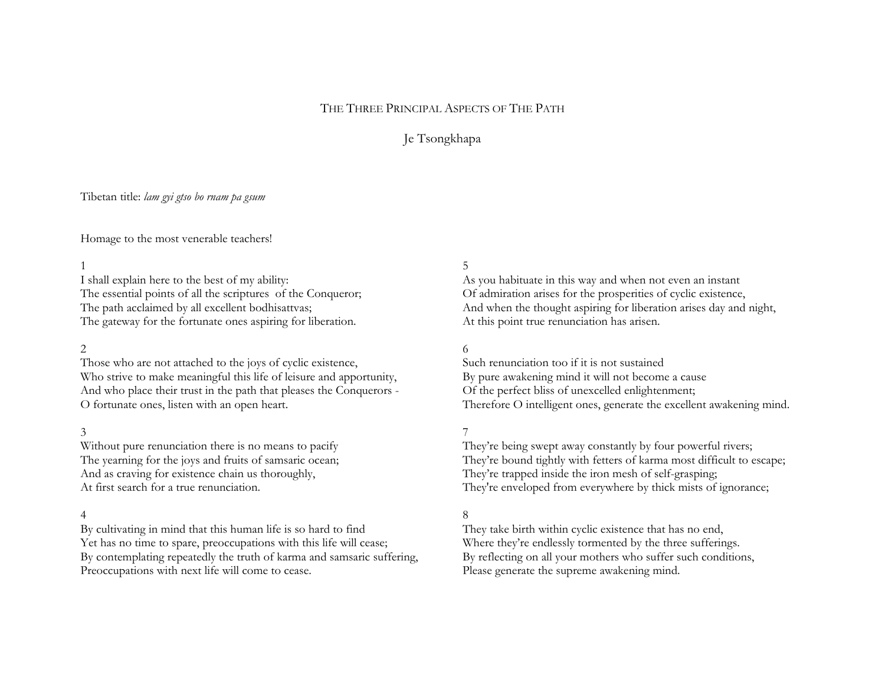# THE THREE PRINCIPAL ASPECTS OF THE PATH

# Je Tsongkhapa

# Tibetan title: *lam gyi gtso bo rnam pa gsum*

Homage to the most venerable teachers!

#### 1

I shall explain here to the best of my ability: The essential points of all the scriptures of the Conqueror; The path acclaimed by all excellent bodhisattvas; The gateway for the fortunate ones aspiring for liberation.

#### 2

Those who are not attached to the joys of cyclic existence, Who strive to make meaningful this life of leisure and apportunity, And who place their trust in the path that pleases the Conquerors - O fortunate ones, listen with an open heart.

#### 3

Without pure renunciation there is no means to pacify The yearning for the joys and fruits of samsaric ocean; And as craving for existence chain us thoroughly, At first search for a true renunciation.

#### 4

By cultivating in mind that this human life is so hard to find Yet has no time to spare, preoccupations with this life will cease; By contemplating repeatedly the truth of karma and samsaric suffering, Preoccupations with next life will come to cease.

## 5

As you habituate in this way and when not even an instant Of admiration arises for the prosperities of cyclic existence, And when the thought aspiring for liberation arises day and night, At this point true renunciation has arisen.

#### 6

Such renunciation too if it is not sustained By pure awakening mind it will not become a cause Of the perfect bliss of unexcelled enlightenment; Therefore O intelligent ones, generate the excellent awakening mind.

## 7

They're being swept away constantly by four powerful rivers; They're bound tightly with fetters of karma most difficult to escape; They're trapped inside the iron mesh of self-grasping; They're enveloped from everywhere by thick mists of ignorance;

### 8

They take birth within cyclic existence that has no end, Where they're endlessly tormented by the three sufferings. By reflecting on all your mothers who suffer such conditions, Please generate the supreme awakening mind.